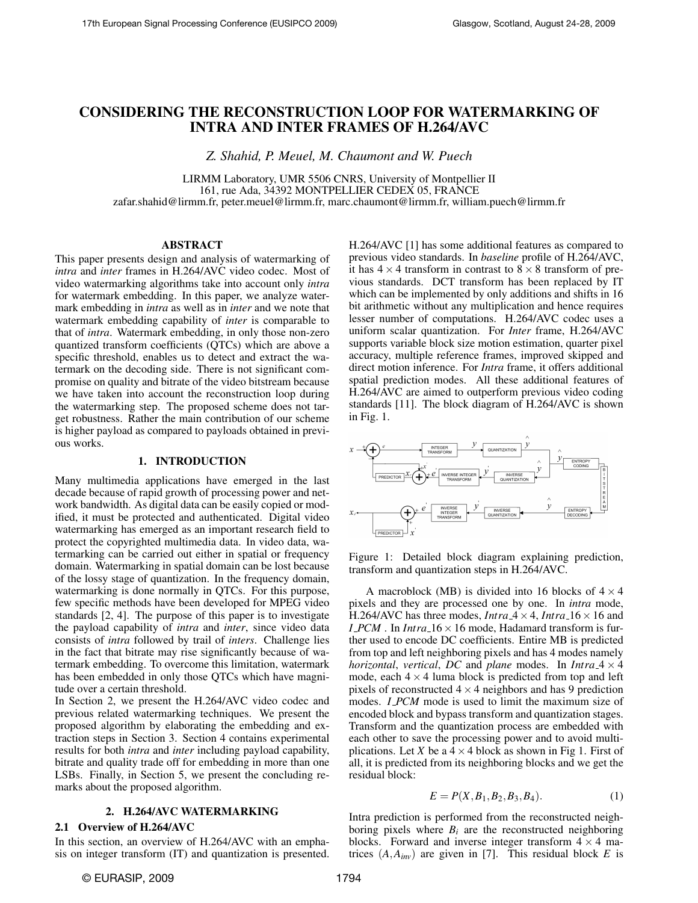# CONSIDERING THE RECONSTRUCTION LOOP FOR WATERMARKING OF INTRA AND INTER FRAMES OF H.264/AVC

*Z. Shahid, P. Meuel, M. Chaumont and W. Puech*

LIRMM Laboratory, UMR 5506 CNRS, University of Montpellier II 161, rue Ada, 34392 MONTPELLIER CEDEX 05, FRANCE zafar.shahid@lirmm.fr, peter.meuel@lirmm.fr, marc.chaumont@lirmm.fr, william.puech@lirmm.fr

# ABSTRACT

This paper presents design and analysis of watermarking of *intra* and *inter* frames in H.264/AVC video codec. Most of video watermarking algorithms take into account only *intra* for watermark embedding. In this paper, we analyze watermark embedding in *intra* as well as in *inter* and we note that watermark embedding capability of *inter* is comparable to that of *intra*. Watermark embedding, in only those non-zero quantized transform coefficients (QTCs) which are above a specific threshold, enables us to detect and extract the watermark on the decoding side. There is not significant compromise on quality and bitrate of the video bitstream because we have taken into account the reconstruction loop during the watermarking step. The proposed scheme does not target robustness. Rather the main contribution of our scheme is higher payload as compared to payloads obtained in previous works.

# 1. INTRODUCTION

Many multimedia applications have emerged in the last decade because of rapid growth of processing power and network bandwidth. As digital data can be easily copied or modified, it must be protected and authenticated. Digital video watermarking has emerged as an important research field to protect the copyrighted multimedia data. In video data, watermarking can be carried out either in spatial or frequency domain. Watermarking in spatial domain can be lost because of the lossy stage of quantization. In the frequency domain, watermarking is done normally in QTCs. For this purpose, few specific methods have been developed for MPEG video standards [2, 4]. The purpose of this paper is to investigate the payload capability of *intra* and *inter*, since video data consists of *intra* followed by trail of *inters*. Challenge lies in the fact that bitrate may rise significantly because of watermark embedding. To overcome this limitation, watermark has been embedded in only those QTCs which have magnitude over a certain threshold.

In Section 2, we present the H.264/AVC video codec and previous related watermarking techniques. We present the proposed algorithm by elaborating the embedding and extraction steps in Section 3. Section 4 contains experimental results for both *intra* and *inter* including payload capability, bitrate and quality trade off for embedding in more than one LSBs. Finally, in Section 5, we present the concluding remarks about the proposed algorithm.

## 2. H.264/AVC WATERMARKING

# 2.1 Overview of H.264/AVC

In this section, an overview of H.264/AVC with an emphasis on integer transform (IT) and quantization is presented. H.264/AVC [1] has some additional features as compared to previous video standards. In *baseline* profile of H.264/AVC, it has  $4 \times 4$  transform in contrast to  $8 \times 8$  transform of previous standards. DCT transform has been replaced by IT which can be implemented by only additions and shifts in 16 bit arithmetic without any multiplication and hence requires lesser number of computations. H.264/AVC codec uses a uniform scalar quantization. For *Inter* frame, H.264/AVC supports variable block size motion estimation, quarter pixel accuracy, multiple reference frames, improved skipped and direct motion inference. For *Intra* frame, it offers additional spatial prediction modes. All these additional features of H.264/AVC are aimed to outperform previous video coding standards [11]. The block diagram of H.264/AVC is shown in Fig. 1.



Figure 1: Detailed block diagram explaining prediction, transform and quantization steps in H.264/AVC.

A macroblock (MB) is divided into 16 blocks of  $4 \times 4$ pixels and they are processed one by one. In *intra* mode, H.264/AVC has three modes, *Intra*  $4 \times 4$ , *Intra*  $16 \times 16$  and *I PCM* . In *Intra*  $16 \times 16$  mode, Hadamard transform is further used to encode DC coefficients. Entire MB is predicted from top and left neighboring pixels and has 4 modes namely *horizontal, vertical, DC* and *plane* modes. In  $Intra_4 \times 4$ mode, each  $4 \times 4$  luma block is predicted from top and left pixels of reconstructed  $4 \times 4$  neighbors and has 9 prediction modes. *I PCM* mode is used to limit the maximum size of encoded block and bypass transform and quantization stages. Transform and the quantization process are embedded with each other to save the processing power and to avoid multiplications. Let *X* be a  $4 \times 4$  block as shown in Fig 1. First of all, it is predicted from its neighboring blocks and we get the residual block:

$$
E = P(X, B_1, B_2, B_3, B_4). \tag{1}
$$

Intra prediction is performed from the reconstructed neighboring pixels where  $B_i$  are the reconstructed neighboring blocks. Forward and inverse integer transform  $4 \times 4$  matrices  $(A, A_{inv})$  are given in [7]. This residual block *E* is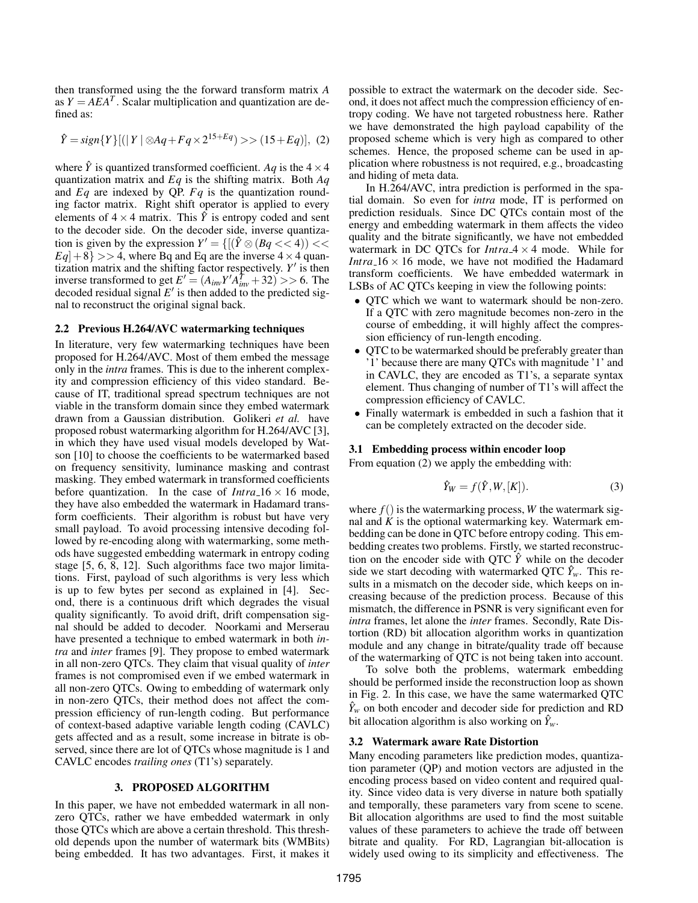then transformed using the the forward transform matrix *A* as  $Y = AEA^T$ . Scalar multiplication and quantization are defined as:

$$
\hat{Y} = sign\{Y\}[(|Y| \otimes Aq + Fq \times 2^{15+Eq}) \gg (15+Eq)], (2)
$$

where  $\hat{Y}$  is quantized transformed coefficient. *Aq* is the  $4 \times 4$ quantization matrix and *Eq* is the shifting matrix. Both *Aq* and *Eq* are indexed by QP. *Fq* is the quantization rounding factor matrix. Right shift operator is applied to every elements of  $4 \times 4$  matrix. This  $\hat{Y}$  is entropy coded and sent to the decoder side. On the decoder side, inverse quantization is given by the expression  $Y' = \{[(\hat{Y} \otimes (Bq \lt \ \leq 4)) \lt \ \leq \}$  $Eq|+8$ } >> 4, where Bq and Eq are the inverse  $4 \times 4$  quantization matrix and the shifting factor respectively.  $Y'$  is then inverse transformed to get  $E' = (A_{inv}Y'A_{inv}^T + 32) >> 6$ . The decoded residual signal  $E'$  is then added to the predicted signal to reconstruct the original signal back.

# 2.2 Previous H.264/AVC watermarking techniques

In literature, very few watermarking techniques have been proposed for H.264/AVC. Most of them embed the message only in the *intra* frames. This is due to the inherent complexity and compression efficiency of this video standard. Because of IT, traditional spread spectrum techniques are not viable in the transform domain since they embed watermark drawn from a Gaussian distribution. Golikeri *et al.* have proposed robust watermarking algorithm for H.264/AVC [3], in which they have used visual models developed by Watson [10] to choose the coefficients to be watermarked based on frequency sensitivity, luminance masking and contrast masking. They embed watermark in transformed coefficients before quantization. In the case of  $Intra_1 6 \times 16$  mode, they have also embedded the watermark in Hadamard transform coefficients. Their algorithm is robust but have very small payload. To avoid processing intensive decoding followed by re-encoding along with watermarking, some methods have suggested embedding watermark in entropy coding stage [5, 6, 8, 12]. Such algorithms face two major limitations. First, payload of such algorithms is very less which is up to few bytes per second as explained in [4]. Second, there is a continuous drift which degrades the visual quality significantly. To avoid drift, drift compensation signal should be added to decoder. Noorkami and Merserau have presented a technique to embed watermark in both *intra* and *inter* frames [9]. They propose to embed watermark in all non-zero QTCs. They claim that visual quality of *inter* frames is not compromised even if we embed watermark in all non-zero QTCs. Owing to embedding of watermark only in non-zero QTCs, their method does not affect the compression efficiency of run-length coding. But performance of context-based adaptive variable length coding (CAVLC) gets affected and as a result, some increase in bitrate is observed, since there are lot of QTCs whose magnitude is 1 and CAVLC encodes *trailing ones* (T1's) separately.

## 3. PROPOSED ALGORITHM

In this paper, we have not embedded watermark in all nonzero QTCs, rather we have embedded watermark in only those QTCs which are above a certain threshold. This threshold depends upon the number of watermark bits (WMBits) being embedded. It has two advantages. First, it makes it possible to extract the watermark on the decoder side. Second, it does not affect much the compression efficiency of entropy coding. We have not targeted robustness here. Rather we have demonstrated the high payload capability of the proposed scheme which is very high as compared to other schemes. Hence, the proposed scheme can be used in application where robustness is not required, e.g., broadcasting and hiding of meta data.

In H.264/AVC, intra prediction is performed in the spatial domain. So even for *intra* mode, IT is performed on prediction residuals. Since DC QTCs contain most of the energy and embedding watermark in them affects the video quality and the bitrate significantly, we have not embedded watermark in DC QTCs for  $Intra_4 \times 4$  mode. While for *Intra*  $16 \times 16$  mode, we have not modified the Hadamard transform coefficients. We have embedded watermark in LSBs of AC QTCs keeping in view the following points:

- QTC which we want to watermark should be non-zero. If a QTC with zero magnitude becomes non-zero in the course of embedding, it will highly affect the compression efficiency of run-length encoding.
- QTC to be watermarked should be preferably greater than '1' because there are many QTCs with magnitude '1' and in CAVLC, they are encoded as T1's, a separate syntax element. Thus changing of number of T1's will affect the compression efficiency of CAVLC.
- Finally watermark is embedded in such a fashion that it can be completely extracted on the decoder side.

## 3.1 Embedding process within encoder loop

From equation (2) we apply the embedding with:

$$
\hat{Y}_W = f(\hat{Y}, W, [K]). \tag{3}
$$

where  $f()$  is the watermarking process, *W* the watermark signal and  $\hat{K}$  is the optional watermarking key. Watermark embedding can be done in QTC before entropy coding. This embedding creates two problems. Firstly, we started reconstruction on the encoder side with QTC  $\hat{Y}$  while on the decoder side we start decoding with watermarked QTC  $\hat{Y}_w$ . This results in a mismatch on the decoder side, which keeps on increasing because of the prediction process. Because of this mismatch, the difference in PSNR is very significant even for *intra* frames, let alone the *inter* frames. Secondly, Rate Distortion (RD) bit allocation algorithm works in quantization module and any change in bitrate/quality trade off because of the watermarking of QTC is not being taken into account.

To solve both the problems, watermark embedding should be performed inside the reconstruction loop as shown in Fig. 2. In this case, we have the same watermarked QTC  $\hat{Y}_w$  on both encoder and decoder side for prediction and RD bit allocation algorithm is also working on  $\hat{Y}_w$ .

#### 3.2 Watermark aware Rate Distortion

Many encoding parameters like prediction modes, quantization parameter (QP) and motion vectors are adjusted in the encoding process based on video content and required quality. Since video data is very diverse in nature both spatially and temporally, these parameters vary from scene to scene. Bit allocation algorithms are used to find the most suitable values of these parameters to achieve the trade off between bitrate and quality. For RD, Lagrangian bit-allocation is widely used owing to its simplicity and effectiveness. The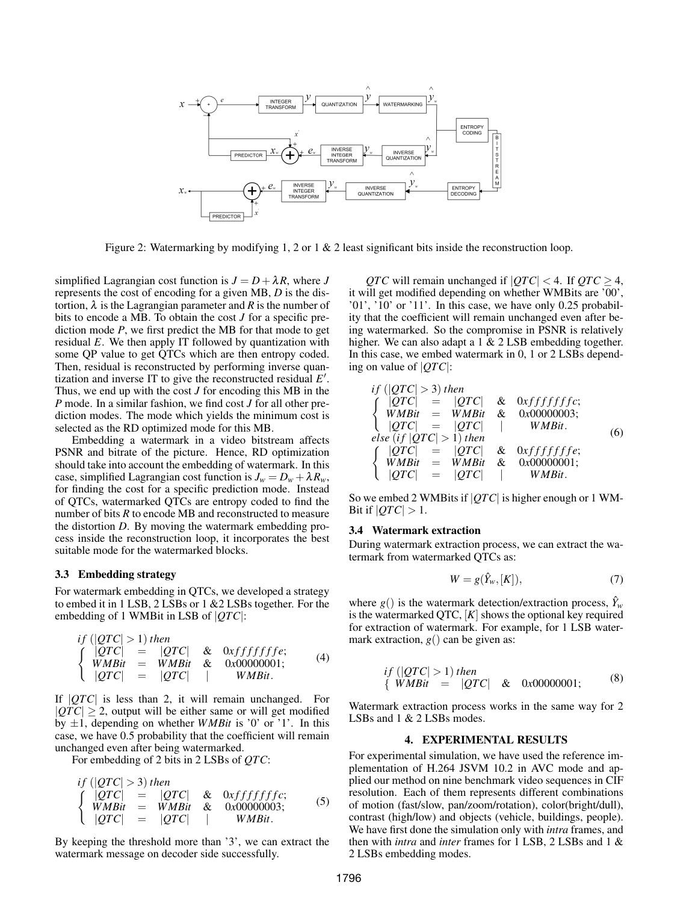

Figure 2: Watermarking by modifying 1, 2 or 1 & 2 least significant bits inside the reconstruction loop.

simplified Lagrangian cost function is  $J = D + \lambda R$ , where *J* represents the cost of encoding for a given MB, *D* is the distortion,  $\lambda$  is the Lagrangian parameter and *R* is the number of bits to encode a MB. To obtain the cost *J* for a specific prediction mode *P*, we first predict the MB for that mode to get residual *E*. We then apply IT followed by quantization with some QP value to get QTCs which are then entropy coded. Then, residual is reconstructed by performing inverse quantization and inverse IT to give the reconstructed residual  $E'$ . Thus, we end up with the cost *J* for encoding this MB in the *P* mode. In a similar fashion, we find cost *J* for all other prediction modes. The mode which yields the minimum cost is selected as the RD optimized mode for this MB.

Embedding a watermark in a video bitstream affects PSNR and bitrate of the picture. Hence, RD optimization should take into account the embedding of watermark. In this case, simplified Lagrangian cost function is  $J_w = D_w + \lambda R_w$ , for finding the cost for a specific prediction mode. Instead of QTCs, watermarked QTCs are entropy coded to find the number of bits *R* to encode MB and reconstructed to measure the distortion *D*. By moving the watermark embedding process inside the reconstruction loop, it incorporates the best suitable mode for the watermarked blocks.

## 3.3 Embedding strategy

For watermark embedding in QTCs, we developed a strategy to embed it in 1 LSB, 2 LSBs or 1 &2 LSBs together. For the embedding of 1 WMBit in LSB of |*QTC*|:

$$
if ( $|QTC| > 1$ ) then  
\n
$$
\begin{cases}\n|QTC| = |QTC| & \& \text{0} x f f f f f f e; \\
W MBit = WMBit & \& \text{0} x 00000001; \\
|QTC| = |QTC| & \& \text{WMBit.}\n\end{cases}
$$
\n(4)
$$

If |*QTC*| is less than 2, it will remain unchanged. For  $|QTC| \geq 2$ , output will be either same or will get modified by  $\pm 1$ , depending on whether *WMBit* is '0' or '1'. In this case, we have 0.5 probability that the coefficient will remain unchanged even after being watermarked.

For embedding of 2 bits in 2 LSBs of *QTC*:

$$
if (|QTC| > 3) then
$$
  
\n
$$
\begin{cases}\n|QTC| = |QTC| & \& \text{0} x f f f f f f f c; \\
W M B i t = W M B i t & \& \text{0} x 0 0 0 0 0 0 0 3; \\
|QTC| = |QTC| & \& W M B i t.\n\end{cases}
$$
\n(5)

By keeping the threshold more than '3', we can extract the watermark message on decoder side successfully.

*QTC* will remain unchanged if  $|QTC| < 4$ . If  $QTC \ge 4$ , it will get modified depending on whether WMBits are '00', '01', '10' or '11'. In this case, we have only 0.25 probability that the coefficient will remain unchanged even after being watermarked. So the compromise in PSNR is relatively higher. We can also adapt a 1 & 2 LSB embedding together. In this case, we embed watermark in 0, 1 or 2 LSBs depending on value of |*QTC*|:

$$
if (|QTC| > 3) then
$$
\n
$$
\begin{cases}\n|QTC| = |QTC| & \& 0xffffffc; \\
WMBit = WMBit & \& 0x00000003; \\
|QTC| = |QTC| & WMBit.\n\end{cases}
$$
\n
$$
else (if |QTC| > 1) then
$$
\n
$$
\begin{cases}\n|QTC| = |QTC| & \& 0xffffffe; \\
WMBit = WMBit & \& 0x00000001; \\
|QTC| = |QTC| & WMBit.\n\end{cases}
$$
\n(6)

So we embed 2 WMBits if |*QTC*| is higher enough or 1 WM-Bit if  $|QTC| > 1$ .

# 3.4 Watermark extraction

During watermark extraction process, we can extract the watermark from watermarked QTCs as:

$$
W = g(\hat{Y}_w, [K]),\tag{7}
$$

where  $g()$  is the watermark detection/extraction process,  $\hat{Y}_w$ is the watermarked QTC,  $[K]$  shows the optional key required for extraction of watermark. For example, for 1 LSB watermark extraction,  $g()$  can be given as:

$$
if ( $|QTC| > 1$ ) then  
{ $WMBit = |QTC|$  & 0x00000001; (8)
$$

Watermark extraction process works in the same way for 2 LSBs and 1 & 2 LSBs modes.

# 4. EXPERIMENTAL RESULTS

For experimental simulation, we have used the reference implementation of H.264 JSVM 10.2 in AVC mode and applied our method on nine benchmark video sequences in CIF resolution. Each of them represents different combinations of motion (fast/slow, pan/zoom/rotation), color(bright/dull), contrast (high/low) and objects (vehicle, buildings, people). We have first done the simulation only with *intra* frames, and then with *intra* and *inter* frames for 1 LSB, 2 LSBs and 1 & 2 LSBs embedding modes.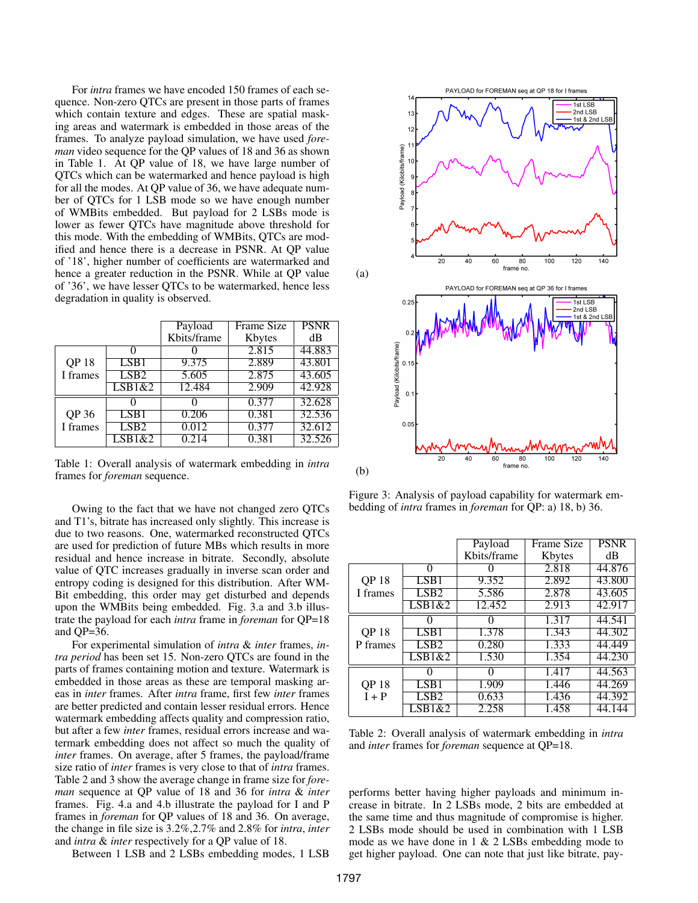For *intra* frames we have encoded 150 frames of each sequence. Non-zero QTCs are present in those parts of frames which contain texture and edges. These are spatial masking areas and watermark is embedded in those areas of the frames. To analyze payload simulation, we have used *foreman* video sequence for the QP values of 18 and 36 as shown in Table 1. At QP value of 18, we have large number of QTCs which can be watermarked and hence payload is high for all the modes. At QP value of 36, we have adequate number of QTCs for 1 LSB mode so we have enough number of WMBits embedded. But payload for 2 LSBs mode is lower as fewer QTCs have magnitude above threshold for this mode. With the embedding of WMBits, QTCs are modified and hence there is a decrease in PSNR. At QP value of '18', higher number of coefficients are watermarked and hence a greater reduction in the PSNR. While at QP value of '36', we have lesser QTCs to be watermarked, hence less degradation in quality is observed.

|                   |                  | Payload     | <b>Frame Size</b> | <b>PSNR</b> |
|-------------------|------------------|-------------|-------------------|-------------|
|                   |                  | Kbits/frame | Kbytes            | dB          |
|                   |                  |             | 2.815             | 44.883      |
| <b>QP18</b>       | LSB <sub>1</sub> | 9.375       | 2.889             | 43.801      |
| I frames          | LSB2             | 5.605       | 2.875             | 43.605      |
|                   | LSB1&2           | 12.484      | 2.909             | 42.928      |
|                   |                  |             | 0.377             | 32.628      |
| QP 36<br>I frames | LSB1             | 0.206       | 0.381             | 32.536      |
|                   | LSB <sub>2</sub> | 0.012       | 0.377             | 32.612      |
|                   | LSB1&2           | 0.214       | 0.381             | 32.526      |

Table 1: Overall analysis of watermark embedding in *intra* frames for *foreman* sequence.

Owing to the fact that we have not changed zero QTCs and T1's, bitrate has increased only slightly. This increase is due to two reasons. One, watermarked reconstructed QTCs are used for prediction of future MBs which results in more residual and hence increase in bitrate. Secondly, absolute value of QTC increases gradually in inverse scan order and entropy coding is designed for this distribution. After WM-Bit embedding, this order may get disturbed and depends upon the WMBits being embedded. Fig. 3.a and 3.b illustrate the payload for each *intra* frame in *foreman* for QP=18 and QP=36.

For experimental simulation of *intra* & *inter* frames, *intra period* has been set 15. Non-zero QTCs are found in the parts of frames containing motion and texture. Watermark is embedded in those areas as these are temporal masking areas in *inter* frames. After *intra* frame, first few *inter* frames are better predicted and contain lesser residual errors. Hence watermark embedding affects quality and compression ratio, but after a few *inter* frames, residual errors increase and watermark embedding does not affect so much the quality of *inter* frames. On average, after 5 frames, the payload/frame size ratio of *inter* frames is very close to that of *intra* frames. Table 2 and 3 show the average change in frame size for *foreman* sequence at QP value of 18 and 36 for *intra* & *inter* frames. Fig. 4.a and 4.b illustrate the payload for I and P frames in *foreman* for QP values of 18 and 36. On average, the change in file size is 3.2%,2.7% and 2.8% for *intra*, *inter* and *intra* & *inter* respectively for a QP value of 18.

Between 1 LSB and 2 LSBs embedding modes, 1 LSB



Figure 3: Analysis of payload capability for watermark embedding of *intra* frames in *foreman* for QP: a) 18, b) 36.

|                        |        | Payload     | <b>Frame Size</b> | <b>PSNR</b> |
|------------------------|--------|-------------|-------------------|-------------|
|                        |        | Kbits/frame | Kbytes            | dВ          |
|                        | 0      |             | 2.818             | 44.876      |
| <b>QP18</b>            | LSB1   | 9.352       | 2.892             | 43.800      |
| I frames               | LSB2   | 5.586       | 2.878             | 43.605      |
|                        | LSB1&2 | 12.452      | 2.913             | 42.917      |
|                        | 0      | $\Omega$    | 1.317             | 44.541      |
| <b>QP18</b>            | LSB1   | 1.378       | 1.343             | 44.302      |
| P frames               | LSB2   | 0.280       | 1.333             | 44.449      |
|                        | LSB1&2 | 1.530       | 1.354             | 44.230      |
|                        | 0      | 0           | 1.417             | 44.563      |
| <b>QP18</b><br>$I + P$ | LSB1   | 1.909       | 1.446             | 44.269      |
|                        | LSB2   | 0.633       | 1.436             | 44.392      |
|                        | LSB1&2 | 2.258       | 1.458             | 44.144      |

Table 2: Overall analysis of watermark embedding in *intra* and *inter* frames for *foreman* sequence at QP=18.

performs better having higher payloads and minimum increase in bitrate. In 2 LSBs mode, 2 bits are embedded at the same time and thus magnitude of compromise is higher. 2 LSBs mode should be used in combination with 1 LSB mode as we have done in  $1 \& 2$  LSBs embedding mode to get higher payload. One can note that just like bitrate, pay-